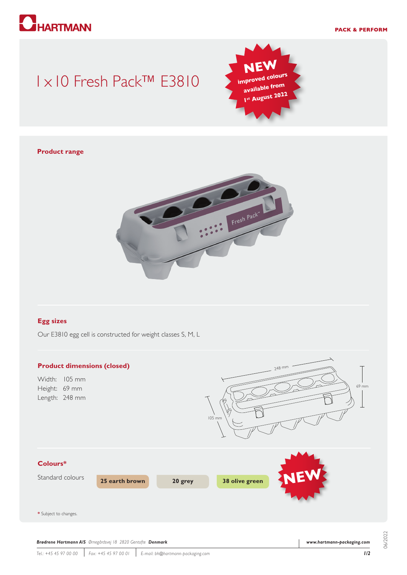# **HARTMANN**

#### **PACK & PERFORM**

## 1x10 Fresh Pack™ E3810



#### **Product range**



#### **Egg sizes**

Our E3810 egg cell is constructed for weight classes S, M, L



06/2022